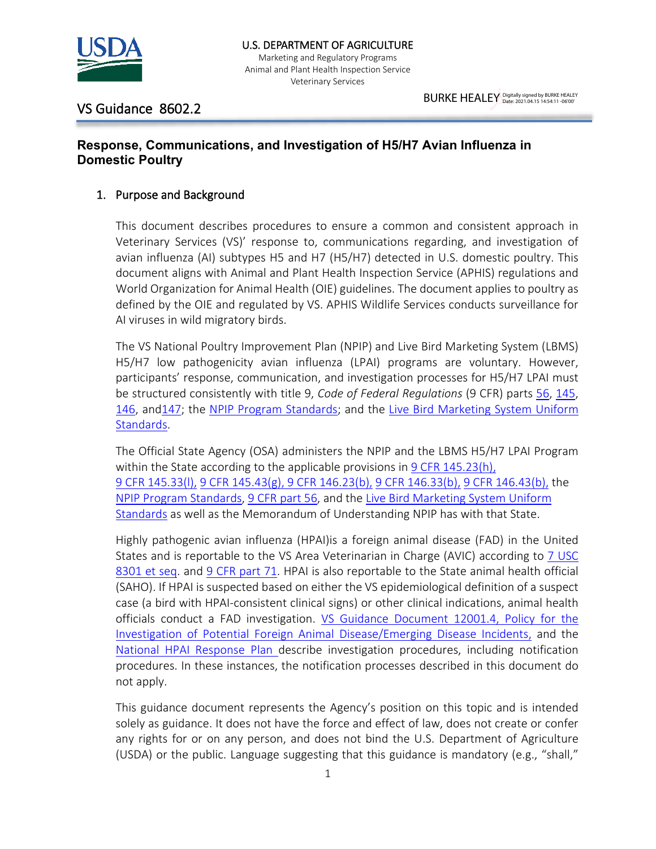

VS Guidance 8602.2

## **Response, Communications, and Investigation of H5/H7 Avian Influenza in Domestic Poultry**

### 1. Purpose and Background

This document describes procedures to ensure a common and consistent approach in Veterinary Services (VS)' response to, communications regarding, and investigation of avian influenza (AI) subtypes H5 and H7 (H5/H7) detected in U.S. domestic poultry. This document aligns with Animal and Plant Health Inspection Service (APHIS) regulations and World Organization for Animal Health (OIE) guidelines. The document applies to poultry as defined by the OIE and regulated by VS. APHIS Wildlife Services conducts surveillance for AI viruses in wild migratory birds.

The VS National Poultry Improvement Plan (NPIP) and Live Bird Marketing System (LBMS) H5/H7 low pathogenicity avian influenza (LPAI) programs are voluntary. However, participants' response, communication, and investigation processes for H5/H7 LPAI must be structured consistently with title 9, *Code of Federal Regulations* (9 CFR) parts [56,](https://www.ecfr.gov/cgi-bin/text-idx?SID=0976da3bfbc5b7b26176c711389fb828&mc=true&tpl=/ecfrbrowse/Title09/9cfr56_main_02.tpl) [145,](https://www.ecfr.gov/cgi-bin/text-idx?SID=0976da3bfbc5b7b26176c711389fb828&mc=true&tpl=/ecfrbrowse/Title09/9cfr145_main_02.tpl) [146,](https://www.ecfr.gov/cgi-bin/text-idx?SID=0976da3bfbc5b7b26176c711389fb828&mc=true&tpl=/ecfrbrowse/Title09/9cfr146_main_02.tpl) an[d147;](https://www.ecfr.gov/cgi-bin/text-idx?SID=0976da3bfbc5b7b26176c711389fb828&mc=true&tpl=/ecfrbrowse/Title09/9cfr147_main_02.tpl) the [NPIP Program Standards;](http://www.poultryimprovement.org/documents/ProgramStandardsA-E.pdf) and the [Live Bird Marketing System Uniform](https://www.aphis.usda.gov/animal_health/animal_dis_spec/poultry/downloads/lbms_program_standards_final.pdf)  [Standards.](https://www.aphis.usda.gov/animal_health/animal_dis_spec/poultry/downloads/lbms_program_standards_final.pdf)

The Official State Agency (OSA) administers the NPIP and the LBMS H5/H7 LPAI Program within the State according to the applicable provisions in [9 CFR 145.23\(h\),](https://www.ecfr.gov/cgi-bin/text-idx?SID=0976da3bfbc5b7b26176c711389fb828&mc=true&node=se9.1.145_123&rgn=div8) [9 CFR 145.33\(l\),](https://www.ecfr.gov/cgi-bin/retrieveECFR?gp=&SID=0976da3bfbc5b7b26176c711389fb828&mc=true&n=pt9.1.145&r=PART&ty=HTML#se9.1.145_133) [9 CFR 145.43\(g\), 9](https://www.ecfr.gov/cgi-bin/retrieveECFR?gp=&SID=0976da3bfbc5b7b26176c711389fb828&mc=true&n=pt9.1.145&r=PART&ty=HTML#se9.1.145_133) [CFR 146.23\(b\),](https://www.ecfr.gov/cgi-bin/text-idx?SID=0976da3bfbc5b7b26176c711389fb828&mc=true&node=pt9.1.146&rgn=div5#se9.1.146_123) [9 CFR 146.33\(b\),](https://www.ecfr.gov/cgi-bin/text-idx?SID=0976da3bfbc5b7b26176c711389fb828&mc=true&node=pt9.1.146&rgn=div5#se9.1.146_123) [9 CFR 146.43\(b\),](https://www.ecfr.gov/cgi-bin/text-idx?SID=0976da3bfbc5b7b26176c711389fb828&mc=true&node=pt9.1.146&rgn=div5#se9.1.146_123) the [NPIP Program Standards,](http://www.poultryimprovement.org/documents/ProgramStandardsA-E.pdf) [9 CFR part 56,](https://www.ecfr.gov/cgi-bin/text-idx?SID=0976da3bfbc5b7b26176c711389fb828&mc=true&tpl=/ecfrbrowse/Title09/9cfr56_main_02.tpl) and the [Live Bird Marketing System Uniform](https://www.aphis.usda.gov/animal_health/animal_dis_spec/poultry/downloads/lbms_program_standards_final.pdf)  [Standards](https://www.aphis.usda.gov/animal_health/animal_dis_spec/poultry/downloads/lbms_program_standards_final.pdf) as well as the Memorandum of Understanding NPIP has with that State.

Highly pathogenic avian influenza (HPAI)is a foreign animal disease (FAD) in the United States and is reportable to the VS Area Veterinarian in Charge (AVIC) according to [7 USC](https://www.govinfo.gov/content/pkg/USCODE-2011-title1/pdf/USCODE-2011-title1.pdf)  [8301 et seq.](https://www.govinfo.gov/content/pkg/USCODE-2011-title1/pdf/USCODE-2011-title1.pdf) and [9 CFR part 71.](https://www.ecfr.gov/cgi-bin/text-idx?SID=7ac7e21f2e8407d24835787fc33fc1b5&mc=true&tpl=/ecfrbrowse/Title09/9cfr71_main_02.tpl) HPAI is also reportable to the State animal health official (SAHO). If HPAI is suspected based on either the VS epidemiological definition of a suspect case (a bird with HPAI-consistent clinical signs) or other clinical indications, animal health officials conduct a FAD investigation. [VS Guidance Document 12001.4,](https://usdagcc.sharepoint.com/sites/aphis-vs/guidancedocs/Current%20VS%20Guidance/VSG%2012001.4%20Policy%20for%20the%20Investigation%20of%20Potential%20Foreign%20Animal%20Disease%20Emerging%20Disease%20Incidents.pdf) Policy for the [Investigation of Potential Foreign Animal Disease/Emerging Disease Incidents,](https://usdagcc.sharepoint.com/sites/aphis-vs/guidancedocs/Current%20VS%20Guidance/VSG%2012001.4%20Policy%20for%20the%20Investigation%20of%20Potential%20Foreign%20Animal%20Disease%20Emerging%20Disease%20Incidents.pdf) and the [National HPAI Response Plan](https://www.aphis.usda.gov/animal_health/downloads/animal_diseases/ai/hpai-preparedness-and-response-plan-2015.pdf) describe investigation procedures, including notification procedures. In these instances, the notification processes described in this document do not apply.

This guidance document represents the Agency's position on this topic and is intended solely as guidance. It does not have the force and effect of law, does not create or confer any rights for or on any person, and does not bind the U.S. Department of Agriculture (USDA) or the public. Language suggesting that this guidance is mandatory (e.g., "shall,"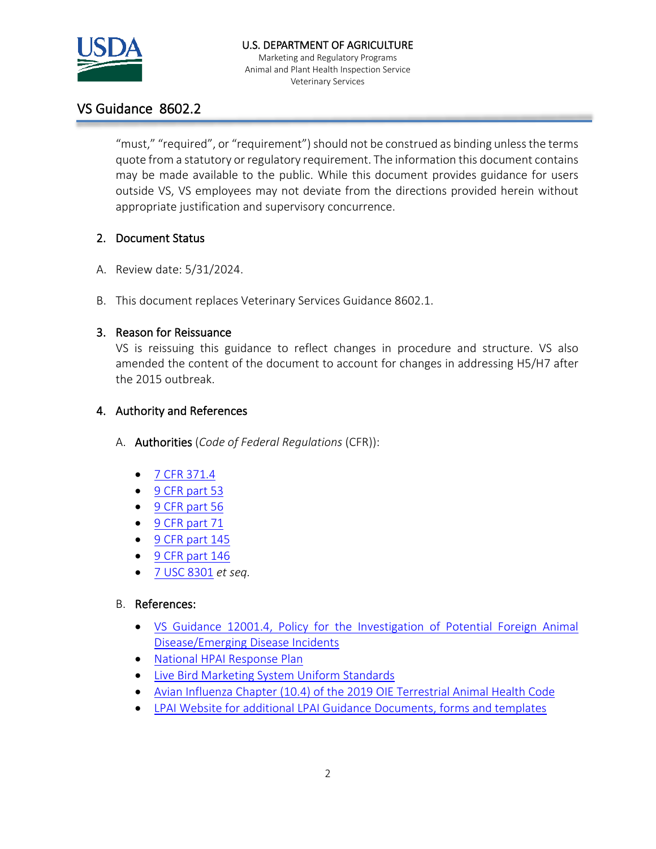

Marketing and Regulatory Programs Animal and Plant Health Inspection Service Veterinary Services

# VS Guidance 8602.2

"must," "required", or "requirement") should not be construed as binding unless the terms quote from a statutory or regulatory requirement. The information this document contains may be made available to the public. While this document provides guidance for users outside VS, VS employees may not deviate from the directions provided herein without appropriate justification and supervisory concurrence.

## 2. Document Status

- A. Review date: 5/31/2024.
- B. This document replaces Veterinary Services Guidance 8602.1.

## 3. Reason for Reissuance

VS is reissuing this guidance to reflect changes in procedure and structure. VS also amended the content of the document to account for changes in addressing H5/H7 after the 2015 outbreak.

## 4. Authority and References

- A. Authorities (*Code of Federal Regulations* (CFR)):
	- 7 CFR [371.4](https://www.ecfr.gov/cgi-bin/text-idx?SID=801439f860a47317ec616f8445dce581&mc=true&node=se7.5.371_14&rgn=div8)
	- 9 CFR [part 53](https://www.ecfr.gov/cgi-bin/text-idx?SID=a55075c94447cb39078019034ac37bc7&mc=true&node=pt9.1.53&rgn=div5)
	- 9 CFR [part 56](https://www.ecfr.gov/cgi-bin/text-idx?SID=a55075c94447cb39078019034ac37bc7&mc=true&node=pt9.1.56&rgn=div5)
	- 9 CFR [part 71](https://www.ecfr.gov/cgi-bin/text-idx?SID=a55075c94447cb39078019034ac37bc7&mc=true&node=pt9.1.71&rgn=div5)
	- 9 CFR [part 145](https://www.ecfr.gov/cgi-bin/text-idx?SID=a55075c94447cb39078019034ac37bc7&mc=true&node=pt9.1.145&rgn=div5)
	- 9 CFR [part 146](https://www.ecfr.gov/cgi-bin/text-idx?SID=a55075c94447cb39078019034ac37bc7&mc=true&node=pt9.1.146&rgn=div5)
	- [7 USC 8301](https://www.gpo.gov/fdsys/granule/USCODE-2011-title7/USCODE-2011-title7-chap109-sec8301) *et seq.*

### B. References:

- [VS Guidance 12001.4, Policy for the Investigation of Potential Foreign Animal](https://usdagcc.sharepoint.com/sites/aphis-vs/guidancedocs/Current%20VS%20Guidance/VSG%2012001.4%20Policy%20for%20the%20Investigation%20of%20Potential%20Foreign%20Animal%20Disease%20Emerging%20Disease%20Incidents.pdf)  [Disease/Emerging Disease Incidents](https://usdagcc.sharepoint.com/sites/aphis-vs/guidancedocs/Current%20VS%20Guidance/VSG%2012001.4%20Policy%20for%20the%20Investigation%20of%20Potential%20Foreign%20Animal%20Disease%20Emerging%20Disease%20Incidents.pdf)
- [National HPAI Response Plan](https://www.aphis.usda.gov/animal_health/downloads/animal_diseases/ai/hpai-preparedness-and-response-plan-2015.pdf)
- [Live Bird Marketing System Uniform Standards](https://www.aphis.usda.gov/animal_health/animal_dis_spec/poultry/downloads/lbms_program_standards_final.pdf)
- [Avian Influenza Chapter \(10.4\) of the 2019 OIE Terrestrial Animal Health Code](https://www.oie.int/index.php?id=169&L=0&htmfile=chapitre_avian_influenza_viruses.htm)
- [LPAI Website for additional LPAI Guidance Documents, forms and templates](https://www.aphis.usda.gov/aphis/ourfocus/animalhealth/animal-disease-information/avian/avian-influenza/defend-the-flock-lpai-info)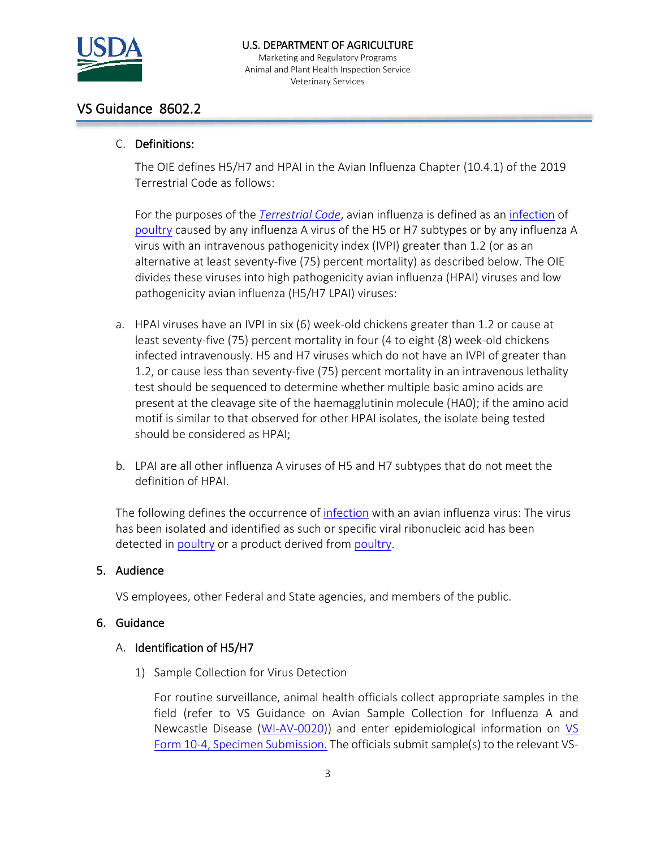

#### U.S. DEPARTMENT OF AGRICULTURE

Marketing and Regulatory Programs Animal and Plant Health Inspection Service Veterinary Services

## VS Guidance 8602.2

### C. Definitions:

The OIE defines H5/H7 and HPAI in the Avian Influenza Chapter (10.4.1) of the 2019 Terrestrial Code as follows:

For the purposes of the *[Terrestrial Code](http://www.oie.int/index.php?id=169&L=0&htmfile=glossaire.htm#terme_code_terrestre)*, avian influenza is defined as an [infection](http://www.oie.int/index.php?id=169&L=0&htmfile=glossaire.htm#terme_infection) of [poultry](http://www.oie.int/index.php?id=169&L=0&htmfile=glossaire.htm#terme_volailles) caused by any influenza A virus of the H5 or H7 subtypes or by any influenza A virus with an intravenous pathogenicity index (IVPI) greater than 1.2 (or as an alternative at least seventy-five (75) percent mortality) as described below. The OIE divides these viruses into high pathogenicity avian influenza (HPAI) viruses and low pathogenicity avian influenza (H5/H7 LPAI) viruses:

- a. HPAI viruses have an IVPI in six (6) week-old chickens greater than 1.2 or cause at least seventy-five (75) percent mortality in four (4 to eight (8) week-old chickens infected intravenously. H5 and H7 viruses which do not have an IVPI of greater than 1.2, or cause less than seventy-five (75) percent mortality in an intravenous lethality test should be sequenced to determine whether multiple basic amino acids are present at the cleavage site of the haemagglutinin molecule (HA0); if the amino acid motif is similar to that observed for other HPAI isolates, the isolate being tested should be considered as HPAI;
- b. LPAI are all other influenza A viruses of H5 and H7 subtypes that do not meet the definition of HPAI.

The following defines the occurrence of [infection](http://www.oie.int/index.php?id=169&L=0&htmfile=glossaire.htm#terme_infection) with an avian influenza virus: The virus has been isolated and identified as such or specific viral ribonucleic acid has been detected in [poultry](http://www.oie.int/index.php?id=169&L=0&htmfile=glossaire.htm#terme_volailles) or a product derived from [poultry.](http://www.oie.int/index.php?id=169&L=0&htmfile=glossaire.htm#terme_volailles)

### 5. Audience

VS employees, other Federal and State agencies, and members of the public.

### 6. Guidance

### A. Identification of H5/H7

1) Sample Collection for Virus Detection

For routine surveillance, animal health officials collect appropriate samples in the field (refer to VS Guidance on Avian Sample Collection for Influenza A and Newcastle Disease [\(WI-AV-0020\)](https://www.aphis.usda.gov/animal_health/lab_info_services/downloads/WIAV0020.pdf)) and enter epidemiological information on [VS](https://www.aphis.usda.gov/library/forms/pdf/VS_Form10_4.pdf)  [Form 10-4, Specimen Submission.](https://www.aphis.usda.gov/library/forms/pdf/VS_Form10_4.pdf) The officials submit sample(s) to the relevant VS-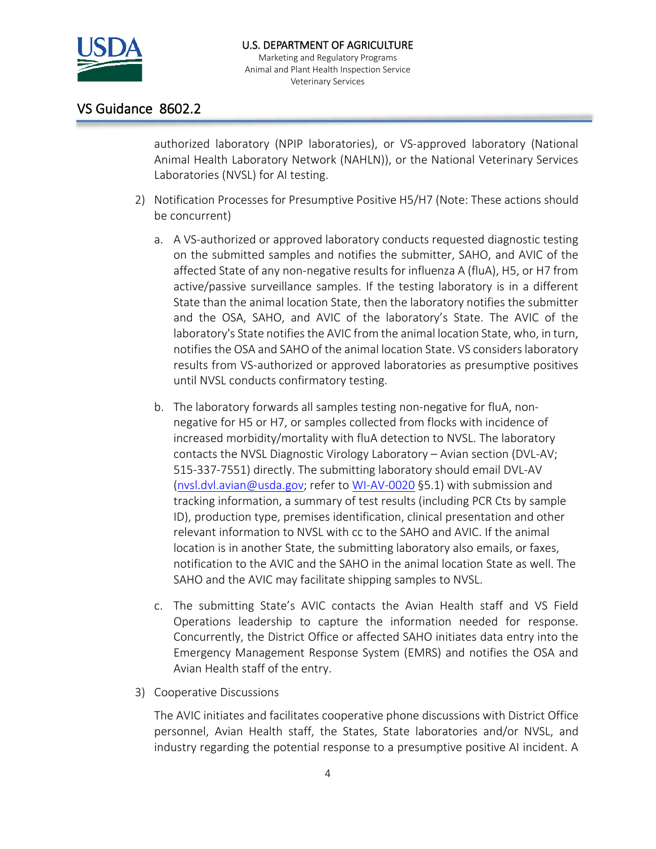

## VS Guidance 8602.2

authorized laboratory (NPIP laboratories), or VS-approved laboratory (National Animal Health Laboratory Network (NAHLN)), or the National Veterinary Services Laboratories (NVSL) for AI testing.

- 2) Notification Processes for Presumptive Positive H5/H7 (Note: These actions should be concurrent)
	- a. A VS-authorized or approved laboratory conducts requested diagnostic testing on the submitted samples and notifies the submitter, SAHO, and AVIC of the affected State of any non-negative results for influenza A (fluA), H5, or H7 from active/passive surveillance samples. If the testing laboratory is in a different State than the animal location State, then the laboratory notifies the submitter and the OSA, SAHO, and AVIC of the laboratory's State. The AVIC of the laboratory's State notifies the AVIC from the animal location State, who, in turn, notifies the OSA and SAHO of the animal location State. VS considers laboratory results from VS-authorized or approved laboratories as presumptive positives until NVSL conducts confirmatory testing.
	- b. The laboratory forwards all samples testing non-negative for fluA, nonnegative for H5 or H7, or samples collected from flocks with incidence of increased morbidity/mortality with fluA detection to NVSL. The laboratory contacts the NVSL Diagnostic Virology Laboratory – Avian section (DVL-AV; 515-337-7551) directly. The submitting laboratory should email DVL-AV [\(nvsl.dvl.avian@usda.gov;](mailto:nvsl.dvl.avian@usda.gov) refer t[o WI-AV-0020](https://www.aphis.usda.gov/animal_health/lab_info_services/downloads/WIAV0020.pdf) §5.1) with submission and tracking information, a summary of test results (including PCR Cts by sample ID), production type, premises identification, clinical presentation and other relevant information to NVSL with cc to the SAHO and AVIC. If the animal location is in another State, the submitting laboratory also emails, or faxes, notification to the AVIC and the SAHO in the animal location State as well. The SAHO and the AVIC may facilitate shipping samples to NVSL.
	- c. The submitting State's AVIC contacts the Avian Health staff and VS Field Operations leadership to capture the information needed for response. Concurrently, the District Office or affected SAHO initiates data entry into the Emergency Management Response System (EMRS) and notifies the OSA and Avian Health staff of the entry.
- 3) Cooperative Discussions

The AVIC initiates and facilitates cooperative phone discussions with District Office personnel, Avian Health staff, the States, State laboratories and/or NVSL, and industry regarding the potential response to a presumptive positive AI incident. A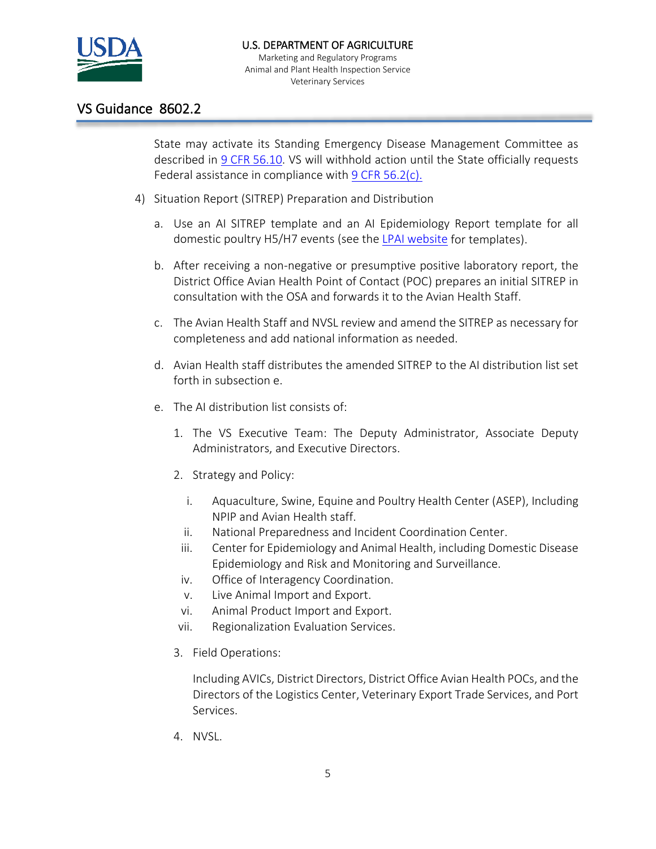

### U.S. DEPARTMENT OF AGRICULTURE

Marketing and Regulatory Programs Animal and Plant Health Inspection Service Veterinary Services

## VS Guidance 8602.2

State may activate its Standing Emergency Disease Management Committee as described in 9 CFR [56.10.](https://www.ecfr.gov/cgi-bin/text-idx?SID=1ecf41246ddf5f6512dbf8facce4984a&mc=true&node=se9.1.56_110&rgn=div8) VS will withhold action until the State officially requests Federal assistance in compliance with 9 CFR [56.2\(c\).](https://www.ecfr.gov/cgi-bin/retrieveECFR?gp=&SID=1ecf41246ddf5f6512dbf8facce4984a&mc=true&n=pt9.1.56&r=PART&ty=HTML#se9.1.56_12)

- 4) Situation Report (SITREP) Preparation and Distribution
	- a. Use an AI SITREP template and an AI Epidemiology Report template for all domestic poultry H5/H7 events (see the [LPAI website](https://www.aphis.usda.gov/aphis/ourfocus/animalhealth/animal-disease-information/avian/avian-influenza/defend-the-flock-lpai-info) for templates).
	- b. After receiving a non-negative or presumptive positive laboratory report, the District Office Avian Health Point of Contact (POC) prepares an initial SITREP in consultation with the OSA and forwards it to the Avian Health Staff.
	- c. The Avian Health Staff and NVSL review and amend the SITREP as necessary for completeness and add national information as needed.
	- d. Avian Health staff distributes the amended SITREP to the AI distribution list set forth in subsection e.
	- e. The AI distribution list consists of:
		- 1. The VS Executive Team: The Deputy Administrator, Associate Deputy Administrators, and Executive Directors.
		- 2. Strategy and Policy:
			- i. Aquaculture, Swine, Equine and Poultry Health Center (ASEP), Including NPIP and Avian Health staff.
			- ii. National Preparedness and Incident Coordination Center.
			- iii. Center for Epidemiology and Animal Health, including Domestic Disease Epidemiology and Risk and Monitoring and Surveillance.
		- iv. Office of Interagency Coordination.
		- v. Live Animal Import and Export.
		- vi. Animal Product Import and Export.
		- vii. Regionalization Evaluation Services.
		- 3. Field Operations:

Including AVICs, District Directors, District Office Avian Health POCs, and the Directors of the Logistics Center, Veterinary Export Trade Services, and Port Services.

4. NVSL.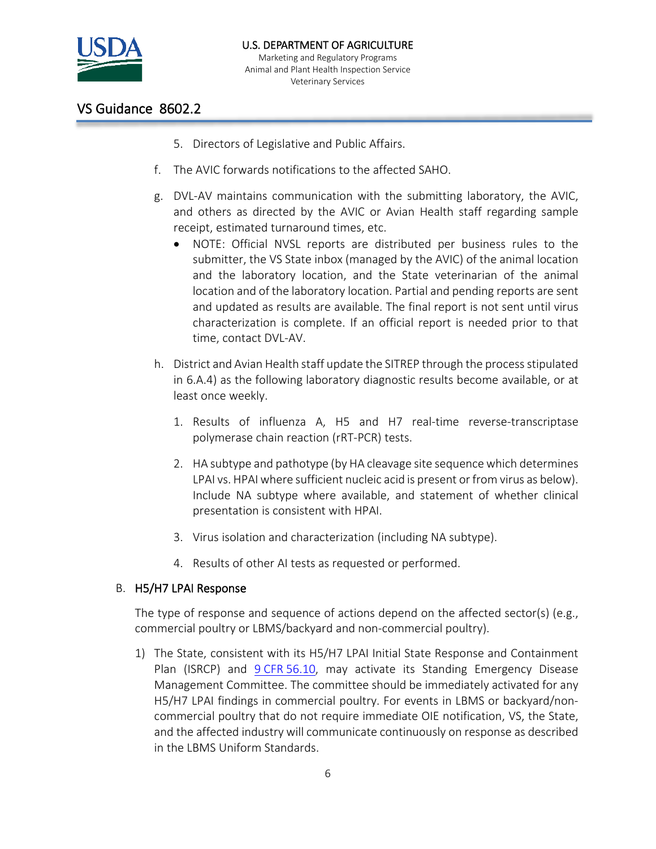

## VS Guidance 8602.2

- 5. Directors of Legislative and Public Affairs.
- f. The AVIC forwards notifications to the affected SAHO.
- g. DVL-AV maintains communication with the submitting laboratory, the AVIC, and others as directed by the AVIC or Avian Health staff regarding sample receipt, estimated turnaround times, etc.
	- NOTE: Official NVSL reports are distributed per business rules to the submitter, the VS State inbox (managed by the AVIC) of the animal location and the laboratory location, and the State veterinarian of the animal location and of the laboratory location. Partial and pending reports are sent and updated as results are available. The final report is not sent until virus characterization is complete. If an official report is needed prior to that time, contact DVL-AV.
- h. District and Avian Health staff update the SITREP through the process stipulated in 6.A.4) as the following laboratory diagnostic results become available, or at least once weekly.
	- 1. Results of influenza A, H5 and H7 real-time reverse-transcriptase polymerase chain reaction (rRT-PCR) tests.
	- 2. HA subtype and pathotype (by HA cleavage site sequence which determines LPAI vs. HPAI where sufficient nucleic acid is present or from virus as below). Include NA subtype where available, and statement of whether clinical presentation is consistent with HPAI.
	- 3. Virus isolation and characterization (including NA subtype).
	- 4. Results of other AI tests as requested or performed.

### B. H5/H7 LPAI Response

The type of response and sequence of actions depend on the affected sector(s) (e.g., commercial poultry or LBMS/backyard and non-commercial poultry).

1) The State, consistent with its H5/H7 LPAI Initial State Response and Containment Plan (ISRCP) and 9 CFR [56.10,](https://www.ecfr.gov/cgi-bin/text-idx?SID=ca7b9e46cbb67961f98b4f4e5d9848a6&mc=true&node=se9.1.56_110&rgn=div8) may activate its Standing Emergency Disease Management Committee. The committee should be immediately activated for any H5/H7 LPAI findings in commercial poultry. For events in LBMS or backyard/noncommercial poultry that do not require immediate OIE notification, VS, the State, and the affected industry will communicate continuously on response as described in the LBMS Uniform Standards.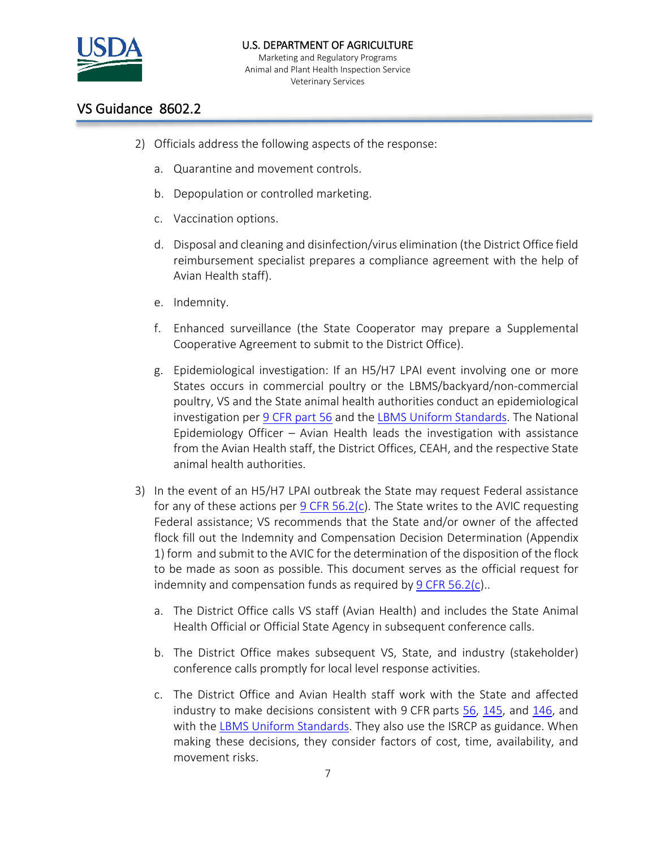

## VS Guidance 8602.2

- 2) Officials address the following aspects of the response:
	- a. Quarantine and movement controls.
	- b. Depopulation or controlled marketing.
	- c. Vaccination options.
	- d. Disposal and cleaning and disinfection/virus elimination (the District Office field reimbursement specialist prepares a compliance agreement with the help of Avian Health staff).
	- e. Indemnity.
	- f. Enhanced surveillance (the State Cooperator may prepare a Supplemental Cooperative Agreement to submit to the District Office).
	- g. Epidemiological investigation: If an H5/H7 LPAI event involving one or more States occurs in commercial poultry or the LBMS/backyard/non-commercial poultry, VS and the State animal health authorities conduct an epidemiological investigation per 9 CFR [part 56](https://www.ecfr.gov/cgi-bin/retrieveECFR?gp=&SID=ca7b9e46cbb67961f98b4f4e5d9848a6&mc=true&n=pt9.1.56&r=PART&ty=HTML) and the [LBMS Uniform Standards.](https://www.aphis.usda.gov/animal_health/animal_dis_spec/poultry/downloads/lbms_program_standards_final.pdf) The National Epidemiology Officer – Avian Health leads the investigation with assistance from the Avian Health staff, the District Offices, CEAH, and the respective State animal health authorities.
- 3) In the event of an H5/H7 LPAI outbreak the State may request Federal assistance for any of these actions per 9 CFR [56.2\(c\)](https://www.ecfr.gov/cgi-bin/text-idx?SID=f6d812d747a520f5c1fd076bac4b89e0&mc=true&node=se9.1.56_12&rgn=div8). The State writes to the AVIC requesting Federal assistance; VS recommends that the State and/or owner of the affected flock fill out the Indemnity and Compensation Decision Determination (Appendix 1) form and submit to the AVIC for the determination of the disposition of the flock to be made as soon as possible. This document serves as the official request for indemnity and compensation funds as required by 9 CFR [56.2\(c\)](https://www.ecfr.gov/cgi-bin/text-idx?SID=f6d812d747a520f5c1fd076bac4b89e0&mc=true&node=se9.1.56_12&rgn=div8)..
	- a. The District Office calls VS staff (Avian Health) and includes the State Animal Health Official or Official State Agency in subsequent conference calls.
	- b. The District Office makes subsequent VS, State, and industry (stakeholder) conference calls promptly for local level response activities.
	- c. The District Office and Avian Health staff work with the State and affected industry to make decisions consistent with 9 CFR parts [56,](https://www.ecfr.gov/cgi-bin/text-idx?SID=0976da3bfbc5b7b26176c711389fb828&mc=true&tpl=/ecfrbrowse/Title09/9cfr56_main_02.tpl) [145,](https://www.ecfr.gov/cgi-bin/text-idx?SID=0976da3bfbc5b7b26176c711389fb828&mc=true&tpl=/ecfrbrowse/Title09/9cfr145_main_02.tpl) and [146,](https://www.ecfr.gov/cgi-bin/text-idx?SID=0976da3bfbc5b7b26176c711389fb828&mc=true&tpl=/ecfrbrowse/Title09/9cfr146_main_02.tpl) and with the [LBMS Uniform Standards.](https://www.aphis.usda.gov/animal_health/animal_dis_spec/poultry/downloads/lbms_program_standards_final.pdf) They also use the ISRCP as guidance. When making these decisions, they consider factors of cost, time, availability, and movement risks.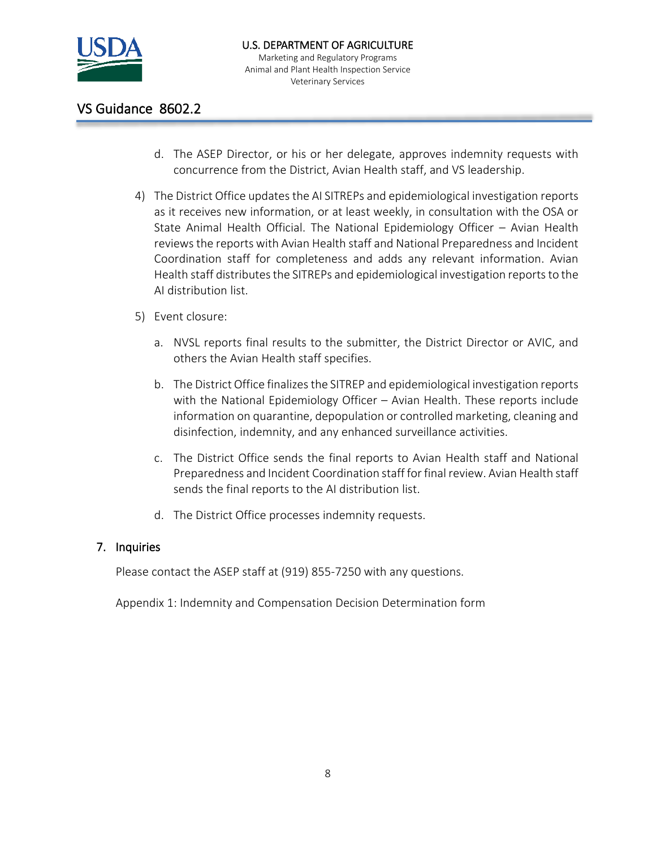

## VS Guidance 8602.2

- d. The ASEP Director, or his or her delegate, approves indemnity requests with concurrence from the District, Avian Health staff, and VS leadership.
- 4) The District Office updates the AI SITREPs and epidemiological investigation reports as it receives new information, or at least weekly, in consultation with the OSA or State Animal Health Official. The National Epidemiology Officer – Avian Health reviews the reports with Avian Health staff and National Preparedness and Incident Coordination staff for completeness and adds any relevant information. Avian Health staff distributes the SITREPs and epidemiological investigation reports to the AI distribution list.
- 5) Event closure:
	- a. NVSL reports final results to the submitter, the District Director or AVIC, and others the Avian Health staff specifies.
	- b. The District Office finalizes the SITREP and epidemiological investigation reports with the National Epidemiology Officer – Avian Health. These reports include information on quarantine, depopulation or controlled marketing, cleaning and disinfection, indemnity, and any enhanced surveillance activities.
	- c. The District Office sends the final reports to Avian Health staff and National Preparedness and Incident Coordination staff for final review. Avian Health staff sends the final reports to the AI distribution list.
	- d. The District Office processes indemnity requests.

### 7. Inquiries

Please contact the ASEP staff at (919) 855-7250 with any questions.

Appendix 1: Indemnity and Compensation Decision Determination form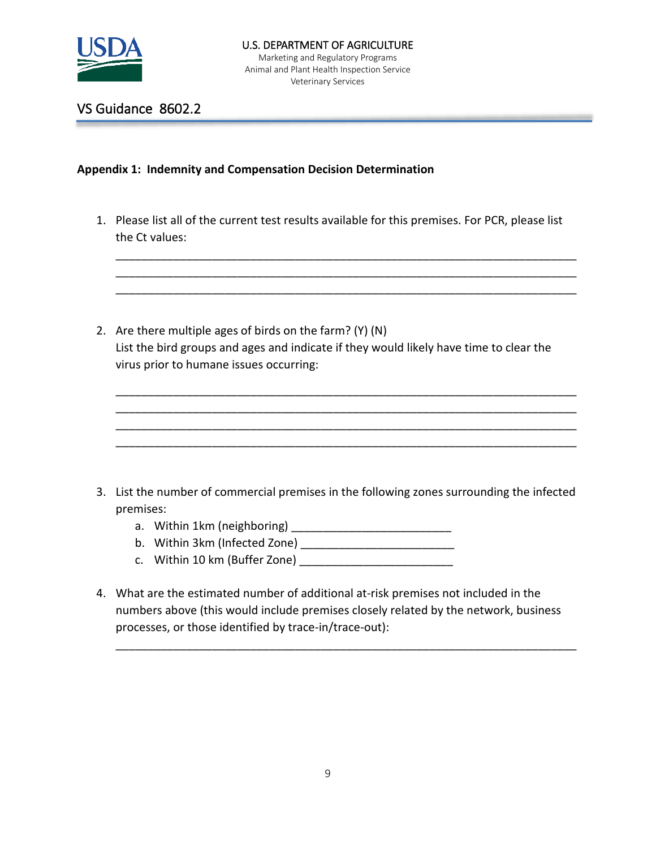

VS Guidance 8602.2

#### **Appendix 1: Indemnity and Compensation Decision Determination**

1. Please list all of the current test results available for this premises. For PCR, please list the Ct values:

\_\_\_\_\_\_\_\_\_\_\_\_\_\_\_\_\_\_\_\_\_\_\_\_\_\_\_\_\_\_\_\_\_\_\_\_\_\_\_\_\_\_\_\_\_\_\_\_\_\_\_\_\_\_\_\_\_\_\_\_\_\_\_\_\_\_\_\_\_\_\_\_ \_\_\_\_\_\_\_\_\_\_\_\_\_\_\_\_\_\_\_\_\_\_\_\_\_\_\_\_\_\_\_\_\_\_\_\_\_\_\_\_\_\_\_\_\_\_\_\_\_\_\_\_\_\_\_\_\_\_\_\_\_\_\_\_\_\_\_\_\_\_\_\_ \_\_\_\_\_\_\_\_\_\_\_\_\_\_\_\_\_\_\_\_\_\_\_\_\_\_\_\_\_\_\_\_\_\_\_\_\_\_\_\_\_\_\_\_\_\_\_\_\_\_\_\_\_\_\_\_\_\_\_\_\_\_\_\_\_\_\_\_\_\_\_\_

\_\_\_\_\_\_\_\_\_\_\_\_\_\_\_\_\_\_\_\_\_\_\_\_\_\_\_\_\_\_\_\_\_\_\_\_\_\_\_\_\_\_\_\_\_\_\_\_\_\_\_\_\_\_\_\_\_\_\_\_\_\_\_\_\_\_\_\_\_\_\_\_ \_\_\_\_\_\_\_\_\_\_\_\_\_\_\_\_\_\_\_\_\_\_\_\_\_\_\_\_\_\_\_\_\_\_\_\_\_\_\_\_\_\_\_\_\_\_\_\_\_\_\_\_\_\_\_\_\_\_\_\_\_\_\_\_\_\_\_\_\_\_\_\_ \_\_\_\_\_\_\_\_\_\_\_\_\_\_\_\_\_\_\_\_\_\_\_\_\_\_\_\_\_\_\_\_\_\_\_\_\_\_\_\_\_\_\_\_\_\_\_\_\_\_\_\_\_\_\_\_\_\_\_\_\_\_\_\_\_\_\_\_\_\_\_\_ \_\_\_\_\_\_\_\_\_\_\_\_\_\_\_\_\_\_\_\_\_\_\_\_\_\_\_\_\_\_\_\_\_\_\_\_\_\_\_\_\_\_\_\_\_\_\_\_\_\_\_\_\_\_\_\_\_\_\_\_\_\_\_\_\_\_\_\_\_\_\_\_

2. Are there multiple ages of birds on the farm? (Y) (N) List the bird groups and ages and indicate if they would likely have time to clear the virus prior to humane issues occurring:

- 3. List the number of commercial premises in the following zones surrounding the infected premises:
	- a. Within 1km (neighboring)
	- b. Within 3km (Infected Zone) \_\_\_\_\_\_\_\_\_\_\_\_\_\_\_\_\_\_\_\_\_\_\_\_
	- c. Within 10 km (Buffer Zone) \_\_\_\_\_\_\_\_\_\_\_\_\_\_\_\_\_\_\_\_\_\_\_\_
- 4. What are the estimated number of additional at-risk premises not included in the numbers above (this would include premises closely related by the network, business processes, or those identified by trace-in/trace-out):

\_\_\_\_\_\_\_\_\_\_\_\_\_\_\_\_\_\_\_\_\_\_\_\_\_\_\_\_\_\_\_\_\_\_\_\_\_\_\_\_\_\_\_\_\_\_\_\_\_\_\_\_\_\_\_\_\_\_\_\_\_\_\_\_\_\_\_\_\_\_\_\_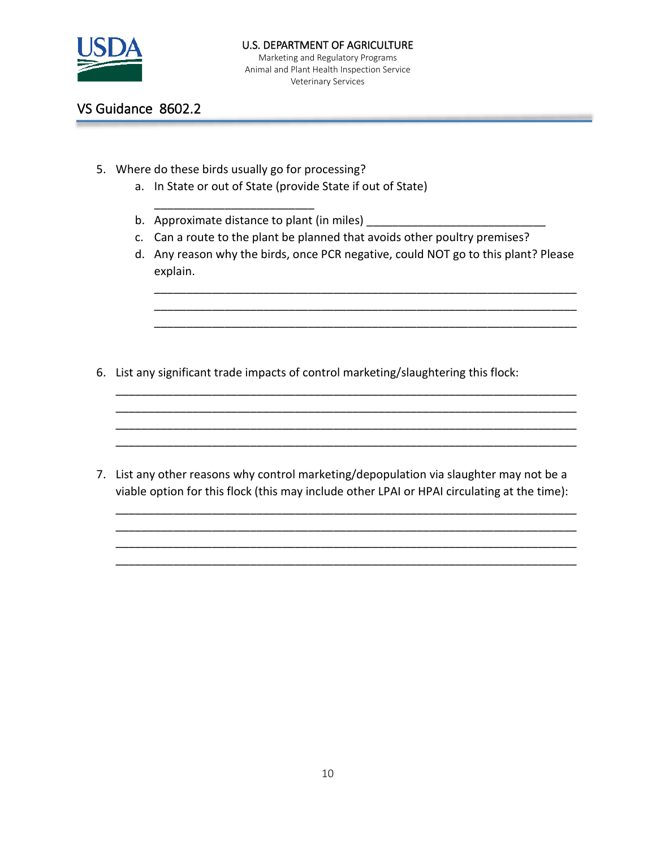

### U.S. DEPARTMENT OF AGRICULTURE

Marketing and Regulatory Programs Animal and Plant Health Inspection Service Veterinary Services

# VS Guidance 8602.2

5. Where do these birds usually go for processing?

\_\_\_\_\_\_\_\_\_\_\_\_\_\_\_\_\_\_\_\_\_\_\_\_\_

- a. In State or out of State (provide State if out of State)
- b. Approximate distance to plant (in miles) \_\_\_\_\_\_\_\_\_\_\_\_\_\_\_\_\_\_\_\_\_\_\_\_\_\_\_\_
- c. Can a route to the plant be planned that avoids other poultry premises?
- d. Any reason why the birds, once PCR negative, could NOT go to this plant? Please explain.

\_\_\_\_\_\_\_\_\_\_\_\_\_\_\_\_\_\_\_\_\_\_\_\_\_\_\_\_\_\_\_\_\_\_\_\_\_\_\_\_\_\_\_\_\_\_\_\_\_\_\_\_\_\_\_\_\_\_\_\_\_\_\_\_\_\_ \_\_\_\_\_\_\_\_\_\_\_\_\_\_\_\_\_\_\_\_\_\_\_\_\_\_\_\_\_\_\_\_\_\_\_\_\_\_\_\_\_\_\_\_\_\_\_\_\_\_\_\_\_\_\_\_\_\_\_\_\_\_\_\_\_\_ \_\_\_\_\_\_\_\_\_\_\_\_\_\_\_\_\_\_\_\_\_\_\_\_\_\_\_\_\_\_\_\_\_\_\_\_\_\_\_\_\_\_\_\_\_\_\_\_\_\_\_\_\_\_\_\_\_\_\_\_\_\_\_\_\_\_

\_\_\_\_\_\_\_\_\_\_\_\_\_\_\_\_

6. List any significant trade impacts of control marketing/slaughtering this flock:

7. List any other reasons why control marketing/depopulation via slaughter may not be a viable option for this flock (this may include other LPAI or HPAI circulating at the time):

\_\_\_\_\_\_\_\_\_\_\_\_\_\_\_\_\_\_\_\_\_\_\_\_\_\_\_\_\_\_\_\_\_\_\_\_\_\_\_\_\_\_\_\_\_\_\_\_\_\_\_\_\_\_\_\_\_\_\_\_\_\_\_\_\_\_\_\_\_\_\_\_ \_\_\_\_\_\_\_\_\_\_\_\_\_\_\_\_\_\_\_\_\_\_\_\_\_\_\_\_\_\_\_\_\_\_\_\_\_\_\_\_\_\_\_\_\_\_\_\_\_\_\_\_\_\_\_\_\_\_\_\_\_\_\_\_\_\_\_\_\_\_\_\_ \_\_\_\_\_\_\_\_\_\_\_\_\_\_\_\_\_\_\_\_\_\_\_\_\_\_\_\_\_\_\_\_\_\_\_\_\_\_\_\_\_\_\_\_\_\_\_\_\_\_\_\_\_\_\_\_\_\_\_\_\_\_\_\_\_\_\_\_\_\_\_\_ \_\_\_\_\_\_\_\_\_\_\_\_\_\_\_\_\_\_\_\_\_\_\_\_\_\_\_\_\_\_\_\_\_\_\_\_\_\_\_\_\_\_\_\_\_\_\_\_\_\_\_\_\_\_\_\_\_\_\_\_\_\_\_\_\_\_\_\_\_\_\_\_

\_\_\_\_\_\_\_\_\_\_\_\_\_\_\_\_\_\_\_\_\_\_\_\_\_\_\_\_\_\_\_\_\_\_\_\_\_\_\_\_\_\_\_\_\_\_\_\_\_\_\_\_\_\_\_\_\_\_\_\_\_\_\_\_\_\_\_\_\_\_\_\_ \_\_\_\_\_\_\_\_\_\_\_\_\_\_\_\_\_\_\_\_\_\_\_\_\_\_\_\_\_\_\_\_\_\_\_\_\_\_\_\_\_\_\_\_\_\_\_\_\_\_\_\_\_\_\_\_\_\_\_\_\_\_\_\_\_\_\_\_\_\_\_\_ \_\_\_\_\_\_\_\_\_\_\_\_\_\_\_\_\_\_\_\_\_\_\_\_\_\_\_\_\_\_\_\_\_\_\_\_\_\_\_\_\_\_\_\_\_\_\_\_\_\_\_\_\_\_\_\_\_\_\_\_\_\_\_\_\_\_\_\_\_\_\_\_ \_\_\_\_\_\_\_\_\_\_\_\_\_\_\_\_\_\_\_\_\_\_\_\_\_\_\_\_\_\_\_\_\_\_\_\_\_\_\_\_\_\_\_\_\_\_\_\_\_\_\_\_\_\_\_\_\_\_\_\_\_\_\_\_\_\_\_\_\_\_\_\_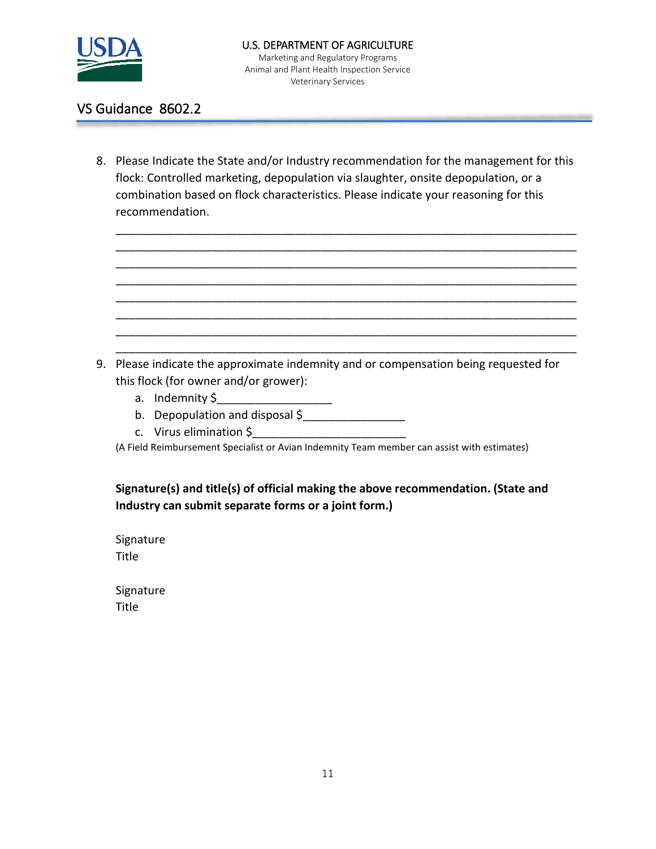

Veterinary Services

## VS Guidance 8602.2

8. Please Indicate the State and/or Industry recommendation for the management for this flock: Controlled marketing, depopulation via slaughter, onsite depopulation, or a combination based on flock characteristics. Please indicate your reasoning for this recommendation.

\_\_\_\_\_\_\_\_\_\_\_\_\_\_\_\_\_\_\_\_\_\_\_\_\_\_\_\_\_\_\_\_\_\_\_\_\_\_\_\_\_\_\_\_\_\_\_\_\_\_\_\_\_\_\_\_\_\_\_\_\_\_\_\_\_\_\_\_\_\_\_\_ \_\_\_\_\_\_\_\_\_\_\_\_\_\_\_\_\_\_\_\_\_\_\_\_\_\_\_\_\_\_\_\_\_\_\_\_\_\_\_\_\_\_\_\_\_\_\_\_\_\_\_\_\_\_\_\_\_\_\_\_\_\_\_\_\_\_\_\_\_\_\_\_ \_\_\_\_\_\_\_\_\_\_\_\_\_\_\_\_\_\_\_\_\_\_\_\_\_\_\_\_\_\_\_\_\_\_\_\_\_\_\_\_\_\_\_\_\_\_\_\_\_\_\_\_\_\_\_\_\_\_\_\_\_\_\_\_\_\_\_\_\_\_\_\_ \_\_\_\_\_\_\_\_\_\_\_\_\_\_\_\_\_\_\_\_\_\_\_\_\_\_\_\_\_\_\_\_\_\_\_\_\_\_\_\_\_\_\_\_\_\_\_\_\_\_\_\_\_\_\_\_\_\_\_\_\_\_\_\_\_\_\_\_\_\_\_\_ \_\_\_\_\_\_\_\_\_\_\_\_\_\_\_\_\_\_\_\_\_\_\_\_\_\_\_\_\_\_\_\_\_\_\_\_\_\_\_\_\_\_\_\_\_\_\_\_\_\_\_\_\_\_\_\_\_\_\_\_\_\_\_\_\_\_\_\_\_\_\_\_ \_\_\_\_\_\_\_\_\_\_\_\_\_\_\_\_\_\_\_\_\_\_\_\_\_\_\_\_\_\_\_\_\_\_\_\_\_\_\_\_\_\_\_\_\_\_\_\_\_\_\_\_\_\_\_\_\_\_\_\_\_\_\_\_\_\_\_\_\_\_\_\_ \_\_\_\_\_\_\_\_\_\_\_\_\_\_\_\_\_\_\_\_\_\_\_\_\_\_\_\_\_\_\_\_\_\_\_\_\_\_\_\_\_\_\_\_\_\_\_\_\_\_\_\_\_\_\_\_\_\_\_\_\_\_\_\_\_\_\_\_\_\_\_\_ \_\_\_\_\_\_\_\_\_\_\_\_\_\_\_\_\_\_\_\_\_\_\_\_\_\_\_\_\_\_\_\_\_\_\_\_\_\_\_\_\_\_\_\_\_\_\_\_\_\_\_\_\_\_\_\_\_\_\_\_\_\_\_\_\_\_\_\_\_\_\_\_

9. Please indicate the approximate indemnity and or compensation being requested for this flock (for owner and/or grower):

- a. Indemnity \$
- b. Depopulation and disposal \$
- c. Virus elimination \$\_\_\_\_\_\_\_\_\_\_\_\_\_\_\_\_\_\_\_\_\_\_\_\_

(A Field Reimbursement Specialist or Avian Indemnity Team member can assist with estimates)

**Signature(s) and title(s) of official making the above recommendation. (State and Industry can submit separate forms or a joint form.)** 

Signature **Title** 

Signature Title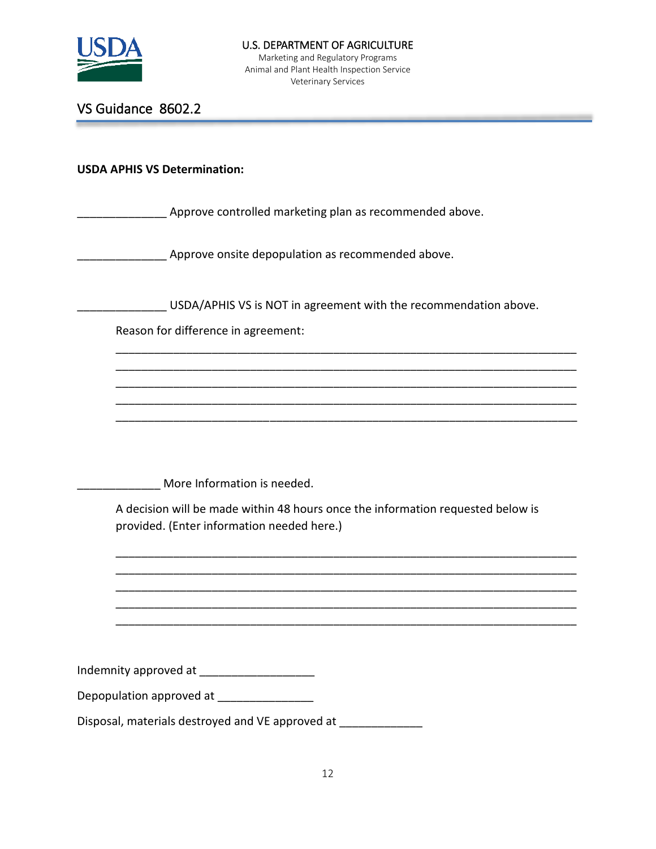

## VS Guidance 8602.2

|  | <b>USDA APHIS VS Determination:</b> |
|--|-------------------------------------|
|  |                                     |

**EXECTED** Approve controlled marketing plan as recommended above.

Approve onsite depopulation as recommended above.

\_\_\_\_\_\_\_\_\_\_\_\_\_\_ USDA/APHIS VS is NOT in agreement with the recommendation above.

\_\_\_\_\_\_\_\_\_\_\_\_\_\_\_\_\_\_\_\_\_\_\_\_\_\_\_\_\_\_\_\_\_\_\_\_\_\_\_\_\_\_\_\_\_\_\_\_\_\_\_\_\_\_\_\_\_\_\_\_\_\_\_\_\_\_\_\_\_\_\_\_ \_\_\_\_\_\_\_\_\_\_\_\_\_\_\_\_\_\_\_\_\_\_\_\_\_\_\_\_\_\_\_\_\_\_\_\_\_\_\_\_\_\_\_\_\_\_\_\_\_\_\_\_\_\_\_\_\_\_\_\_\_\_\_\_\_\_\_\_\_\_\_\_ \_\_\_\_\_\_\_\_\_\_\_\_\_\_\_\_\_\_\_\_\_\_\_\_\_\_\_\_\_\_\_\_\_\_\_\_\_\_\_\_\_\_\_\_\_\_\_\_\_\_\_\_\_\_\_\_\_\_\_\_\_\_\_\_\_\_\_\_\_\_\_\_ \_\_\_\_\_\_\_\_\_\_\_\_\_\_\_\_\_\_\_\_\_\_\_\_\_\_\_\_\_\_\_\_\_\_\_\_\_\_\_\_\_\_\_\_\_\_\_\_\_\_\_\_\_\_\_\_\_\_\_\_\_\_\_\_\_\_\_\_\_\_\_\_ \_\_\_\_\_\_\_\_\_\_\_\_\_\_\_\_\_\_\_\_\_\_\_\_\_\_\_\_\_\_\_\_\_\_\_\_\_\_\_\_\_\_\_\_\_\_\_\_\_\_\_\_\_\_\_\_\_\_\_\_\_\_\_\_\_\_\_\_\_\_\_\_

Reason for difference in agreement:

More Information is needed.

A decision will be made within 48 hours once the information requested below is provided. (Enter information needed here.)

\_\_\_\_\_\_\_\_\_\_\_\_\_\_\_\_\_\_\_\_\_\_\_\_\_\_\_\_\_\_\_\_\_\_\_\_\_\_\_\_\_\_\_\_\_\_\_\_\_\_\_\_\_\_\_\_\_\_\_\_\_\_\_\_\_\_\_\_\_\_\_\_ \_\_\_\_\_\_\_\_\_\_\_\_\_\_\_\_\_\_\_\_\_\_\_\_\_\_\_\_\_\_\_\_\_\_\_\_\_\_\_\_\_\_\_\_\_\_\_\_\_\_\_\_\_\_\_\_\_\_\_\_\_\_\_\_\_\_\_\_\_\_\_\_ \_\_\_\_\_\_\_\_\_\_\_\_\_\_\_\_\_\_\_\_\_\_\_\_\_\_\_\_\_\_\_\_\_\_\_\_\_\_\_\_\_\_\_\_\_\_\_\_\_\_\_\_\_\_\_\_\_\_\_\_\_\_\_\_\_\_\_\_\_\_\_\_ \_\_\_\_\_\_\_\_\_\_\_\_\_\_\_\_\_\_\_\_\_\_\_\_\_\_\_\_\_\_\_\_\_\_\_\_\_\_\_\_\_\_\_\_\_\_\_\_\_\_\_\_\_\_\_\_\_\_\_\_\_\_\_\_\_\_\_\_\_\_\_\_ \_\_\_\_\_\_\_\_\_\_\_\_\_\_\_\_\_\_\_\_\_\_\_\_\_\_\_\_\_\_\_\_\_\_\_\_\_\_\_\_\_\_\_\_\_\_\_\_\_\_\_\_\_\_\_\_\_\_\_\_\_\_\_\_\_\_\_\_\_\_\_\_

Indemnity approved at \_\_\_\_\_\_\_\_\_\_\_\_\_\_\_\_\_\_

| Depopulation approved at |  |
|--------------------------|--|
|                          |  |

Disposal, materials destroyed and VE approved at